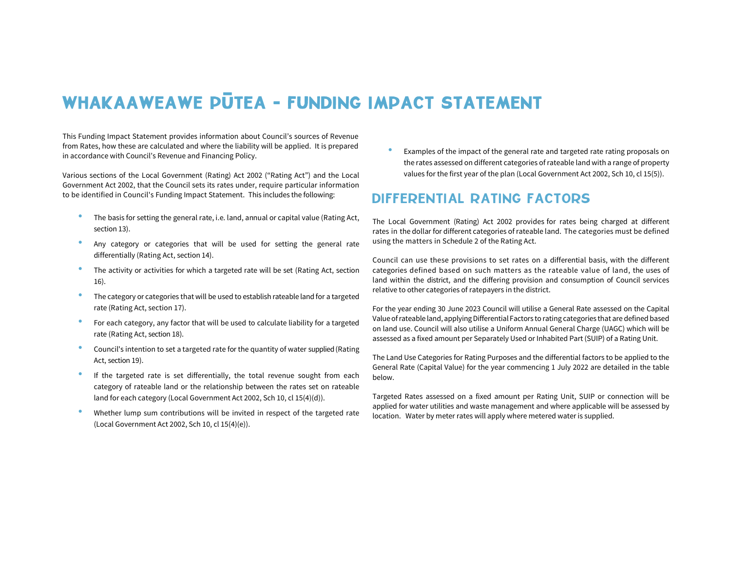# WHAKAAWEAWE PUTEA - FUNDING IMPACT STATEMENT

This Funding Impact Statement provides information about Council's sources of Revenue from Rates, how these are calculated and where the liability will be applied. It is prepared in accordance with Council's Revenue and Financing Policy.

Various sections of the Local Government (Rating) Act 2002 ("Rating Act") and the Local Government Act 2002, that the Council sets its rates under, require particular information to be identified in Council's Funding Impact Statement. This includes the following:

- The basis for setting the general rate, i.e. land, annual or capital value (Rating Act, section 13).
- Any category or categories that will be used for setting the general rate differentially (Rating Act, section 14).
- The activity or activities for which a targeted rate will be set (Rating Act, section 16).
- The category or categories that will be used to establish rateable land for a targeted rate (Rating Act, section 17).
- For each category, any factor that will be used to calculate liability for a targeted rate (Rating Act, section 18).
- Council's intention to set a targeted rate for the quantity of water supplied (Rating Act, section 19).
- If the targeted rate is set differentially, the total revenue sought from each category of rateable land or the relationship between the rates set on rateable land for each category (Local Government Act 2002, Sch 10, cl 15(4)(d)).
- Whether lump sum contributions will be invited in respect of the targeted rate (Local Government Act 2002, Sch 10, cl 15(4)(e)).

• Examples of the impact of the general rate and targeted rate rating proposals on the rates assessed on different categories of rateable land with a range of property values for the first year of the plan (Local Government Act 2002, Sch 10, cl 15(5)).

### DIFFERENTIAL RATING FACTORS

The Local Government (Rating) Act 2002 provides for rates being charged at different rates in the dollar for different categories of rateable land. The categories must be defined using the matters in Schedule 2 of the Rating Act.

Council can use these provisions to set rates on a differential basis, with the different categories defined based on such matters as the rateable value of land, the uses of land within the district, and the differing provision and consumption of Council services relative to other categories of ratepayers in the district.

For the year ending 30 June 2023 Council will utilise a General Rate assessed on the Capital Value of rateable land, applying Differential Factors to rating categories that are defined based on land use. Council will also utilise a Uniform Annual General Charge (UAGC) which will be assessed as a fixed amount per Separately Used or Inhabited Part (SUIP) of a Rating Unit.

The Land Use Categories for Rating Purposes and the differential factors to be applied to the General Rate (Capital Value) for the year commencing 1 July 2022 are detailed in the table below.

Targeted Rates assessed on a fixed amount per Rating Unit, SUIP or connection will be applied for water utilities and waste management and where applicable will be assessed by location. Water by meter rates will apply where metered water is supplied.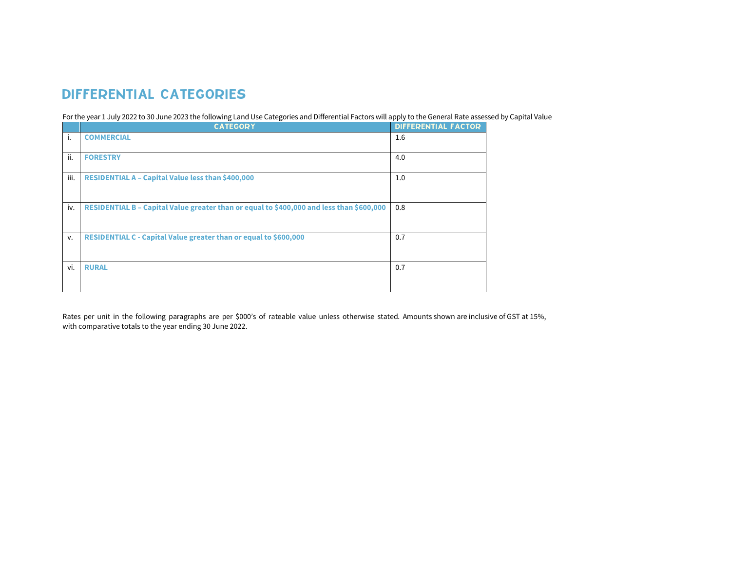# DIFFERENTIAL CATEGORIES

For the year 1 July 2022 to 30 June 2023 the following Land Use Categories and Differential Factors will apply to the General Rate assessed by Capital Value

|      | <b>CATEGORY</b>                                                                          | <b>DIFFERENTIAL FACTOR</b> |
|------|------------------------------------------------------------------------------------------|----------------------------|
| i.   | <b>COMMERCIAL</b>                                                                        | 1.6                        |
| ii.  | <b>FORESTRY</b>                                                                          | 4.0                        |
| iii. | RESIDENTIAL A - Capital Value less than \$400,000                                        | 1.0                        |
| iv.  | RESIDENTIAL B - Capital Value greater than or equal to \$400,000 and less than \$600,000 | 0.8                        |
| v.   | RESIDENTIAL C - Capital Value greater than or equal to \$600,000                         | 0.7                        |
| vi.  | <b>RURAL</b>                                                                             | 0.7                        |

Rates per unit in the following paragraphs are per \$000's of rateable value unless otherwise stated. Amounts shown are inclusive of GST at 15%, with comparative totals to the year ending 30 June 2022.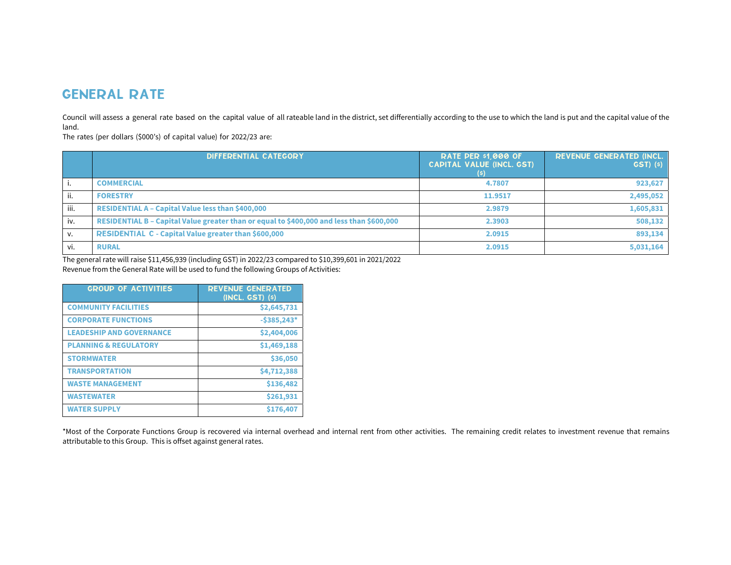### GENERAL RATE

Council will assess a general rate based on the capital value of all rateable land in the district, set differentially according to the use to which the land is put and the capital value of the land.

The rates (per dollars (\$000's) of capital value) for 2022/23 are:

|      | DIFFERENTIAL CATEGORY                                                                    | <b>RATE PER \$1,000 OF</b><br><b>CAPITAL VALUE (INCL. GST)</b> | <b>REVENUE GENERATED (INCL.)</b><br>GST(5) |
|------|------------------------------------------------------------------------------------------|----------------------------------------------------------------|--------------------------------------------|
|      | <b>COMMERCIAL</b>                                                                        | 4.7807                                                         | 923,627                                    |
| ii.  | <b>FORESTRY</b>                                                                          | 11.9517                                                        | 2,495,052                                  |
| iii. | <b>RESIDENTIAL A - Capital Value less than \$400,000</b>                                 | 2.9879                                                         | 1,605,831                                  |
| iv.  | RESIDENTIAL B - Capital Value greater than or equal to \$400,000 and less than \$600,000 | 2.3903                                                         | 508,132                                    |
| v.   | <b>RESIDENTIAL C - Capital Value greater than \$600,000</b>                              | 2.0915                                                         | 893,134                                    |
| vi.  | <b>RURAL</b>                                                                             | 2.0915                                                         | 5,031,164                                  |

The general rate will raise \$11,456,939 (including GST) in 2022/23 compared to \$10,399,601 in 2021/2022 Revenue from the General Rate will be used to fund the following Groups of Activities:

| <b>GROUP OF ACTIVITIES</b>       | <b>REVENUE GENERATED</b><br>$(INCL. GST)$ $(s)$ |
|----------------------------------|-------------------------------------------------|
| <b>COMMUNITY FACILITIES</b>      | \$2,645,731                                     |
| <b>CORPORATE FUNCTIONS</b>       | $-5385,243*$                                    |
| <b>LEADESHIP AND GOVERNANCE</b>  | \$2,404,006                                     |
| <b>PLANNING &amp; REGULATORY</b> | \$1,469,188                                     |
| <b>STORMWATER</b>                | \$36,050                                        |
| <b>TRANSPORTATION</b>            | \$4,712,388                                     |
| <b>WASTE MANAGEMENT</b>          | \$136,482                                       |
| <b>WASTEWATER</b>                | \$261,931                                       |
| <b>WATER SUPPLY</b>              | \$176,407                                       |

\*Most of the Corporate Functions Group is recovered via internal overhead and internal rent from other activities. The remaining credit relates to investment revenue that remains attributable to this Group. This is offset against general rates.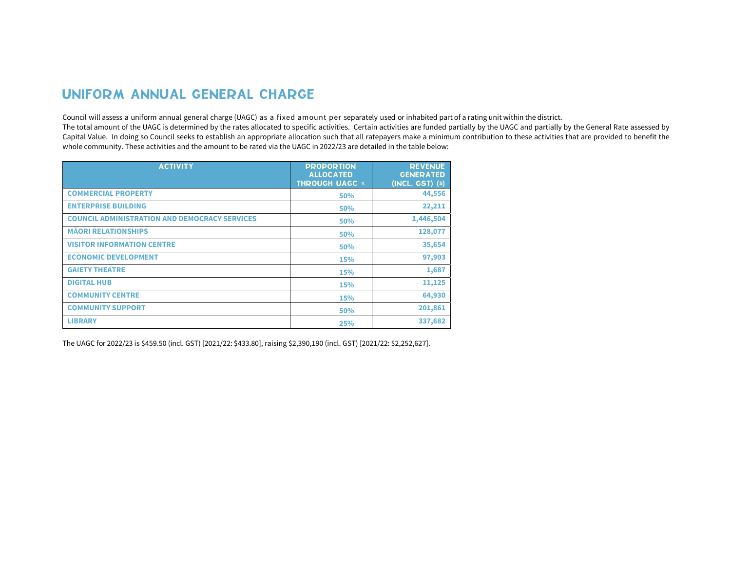### UNIFORM ANNUAL GENERAL CHARGE

Council will assess a uniform annual general charge (UAGC) as a fixed amount per separately used or inhabited part of a rating unit within the district.

The total amount of the UAGC is determined by the rates allocated to specific activities. Certain activities are funded partially by the UAGC and partially by the General Rate assessed by Capital Value. In doing so Council seeks to establish an appropriate allocation such that all ratepayers make a minimum contribution to these activities that are provided to benefit the whole community. These activities and the amount to be rated via the UAGC in 2022/23 are detailed in the table below:

| <b>ACTIVITY</b>                                      | <b>PROPORTION</b><br><b>ALLOCATED</b><br><b>THROUGH UAGC *</b> | <b>REVENUE</b><br><b>GENERATED</b><br>(INCL. GST) (s) |
|------------------------------------------------------|----------------------------------------------------------------|-------------------------------------------------------|
| <b>COMMERCIAL PROPERTY</b>                           | 50%                                                            | 44,556                                                |
| <b>ENTERPRISE BUILDING</b>                           | 50%                                                            | 22,211                                                |
| <b>COUNCIL ADMINISTRATION AND DEMOCRACY SERVICES</b> | 50%                                                            | 1,446,504                                             |
| <b>MÄORI RELATIONSHIPS</b>                           | 50%                                                            | 128,077                                               |
| <b>VISITOR INFORMATION CENTRE</b>                    | 50%                                                            | 35,654                                                |
| <b>ECONOMIC DEVELOPMENT</b>                          | 15%                                                            | 97,903                                                |
| <b>GAIETY THEATRE</b>                                | <b>15%</b>                                                     | 1,687                                                 |
| <b>DIGITAL HUB</b>                                   | <b>15%</b>                                                     | 11,125                                                |
| <b>COMMUNITY CENTRE</b>                              | <b>15%</b>                                                     | 64,930                                                |
| <b>COMMUNITY SUPPORT</b>                             | 50%                                                            | 201,861                                               |
| <b>LIBRARY</b>                                       | 25%                                                            | 337,682                                               |

The UAGC for 2022/23 is \$459.50 (incl. GST) [2021/22: \$433.80], raising \$2,390,190 (incl. GST) [2021/22: \$2,252,627].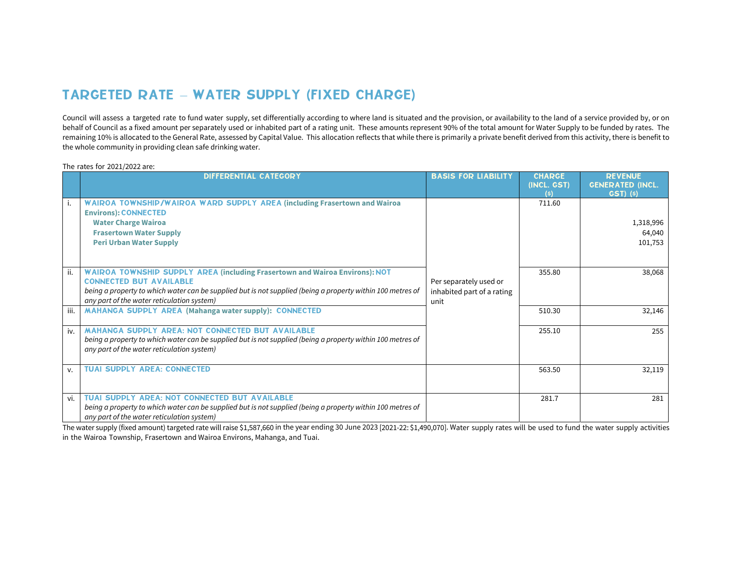# TARGETED RATE – WATER SUPPLY (FIXED CHARGE)

Council will assess a targeted rate to fund water supply, set differentially according to where land is situated and the provision, or availability to the land of a service provided by, or on behalf of Council as a fixed amount per separately used or inhabited part of a rating unit. These amounts represent 90% of the total amount for Water Supply to be funded by rates. The remaining 10% is allocated to the General Rate, assessed by Capital Value. This allocation reflects that while there is primarily a private benefit derived from this activity, there is benefit to the whole community in providing clean safe drinking water.

The rates for 2021/2022 are:

|      | <b>DIFFERENTIAL CATEGORY</b>                                                                                                                                                                                                                                                     | <b>BASIS FOR LIABILITY</b>                                   | <b>CHARGE</b><br>(INCL. GST)<br>(s) | <b>REVENUE</b><br><b>GENERATED (INCL.</b><br>$GST)$ $(5)$ |
|------|----------------------------------------------------------------------------------------------------------------------------------------------------------------------------------------------------------------------------------------------------------------------------------|--------------------------------------------------------------|-------------------------------------|-----------------------------------------------------------|
|      | WAIROA TOWNSHIP/WAIROA WARD SUPPLY AREA (including Frasertown and Wairoa<br><b>Environs): CONNECTED</b><br><b>Water Charge Wairoa</b><br><b>Frasertown Water Supply</b><br><b>Peri Urban Water Supply</b>                                                                        |                                                              | 711.60                              | 1,318,996<br>64,040<br>101,753                            |
| ii.  | <b>WAIROA TOWNSHIP SUPPLY AREA (including Frasertown and Wairoa Environs): NOT</b><br><b>CONNECTED BUT AVAILABLE</b><br>being a property to which water can be supplied but is not supplied (being a property within 100 metres of<br>any part of the water reticulation system) | Per separately used or<br>inhabited part of a rating<br>unit | 355.80                              | 38,068                                                    |
| iii. | <b>MAHANGA SUPPLY AREA (Mahanga water supply): CONNECTED</b>                                                                                                                                                                                                                     |                                                              | 510.30                              | 32,146                                                    |
| iv.  | <b>MAHANGA SUPPLY APEA: NOT CONNECTED BUT AVAILABLE</b><br>being a property to which water can be supplied but is not supplied (being a property within 100 metres of<br>any part of the water reticulation system)                                                              |                                                              | 255.10                              | 255                                                       |
| v.   | <b>TUAI SUPPLY AREA: CONNECTED</b>                                                                                                                                                                                                                                               |                                                              | 563.50                              | 32,119                                                    |
| vi.  | <b>TUAI SUPPLY AREA: NOT CONNECTED BUT AVAILABLE</b><br>being a property to which water can be supplied but is not supplied (being a property within 100 metres of<br>any part of the water reticulation system)                                                                 |                                                              | 281.7                               | 281                                                       |

The water supply (fixed amount) targeted rate will raise \$1,587,660 in the year ending 30 June 2023 [2021-22: \$1,490,070]. Water supply rates will be used to fund the water supply activities in the Wairoa Township, Frasertown and Wairoa Environs, Mahanga, and Tuai.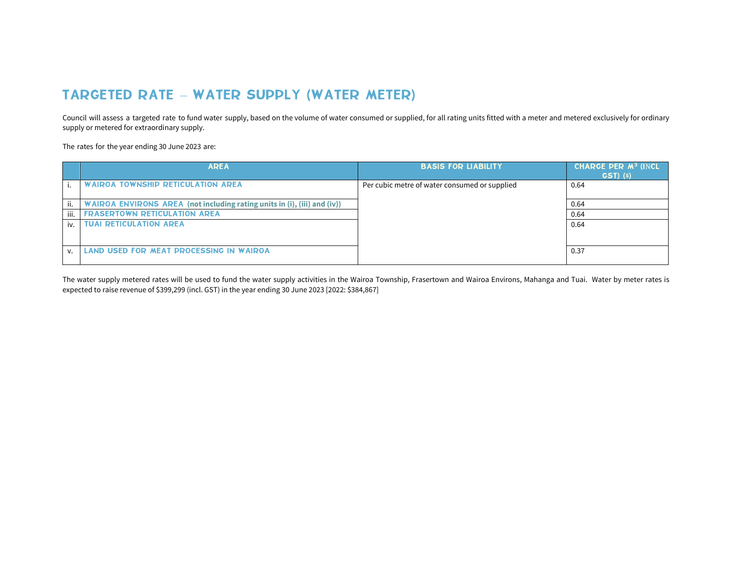# TARGETED RATE – WATER SUPPLY (WATER METER)

Council will assess a targeted rate to fund water supply, based on the volume of water consumed or supplied, for all rating units fitted with a meter and metered exclusively for ordinary supply or metered for extraordinary supply.

The rates for the year ending 30 June 2023 are:

|              | <b>AREA</b>                                                              | <b>BASIS FOR LIABILITY</b>                    | CHARGE PER M <sup>3</sup> (INCL<br><b>GST</b> ) (s) |
|--------------|--------------------------------------------------------------------------|-----------------------------------------------|-----------------------------------------------------|
|              | <b>WAIROA TOWNSHIP RETICULATION AREA</b>                                 | Per cubic metre of water consumed or supplied | 0.64                                                |
| ii.          | WAIROA ENVIRONS AREA (not including rating units in (i), (iii) and (iv)) |                                               | 0.64                                                |
| iii.         | <b>FRASERTOWN RETICULATION AREA</b>                                      |                                               | 0.64                                                |
| iv.          | <b>TUAI RETICULATION AREA</b>                                            |                                               | 0.64                                                |
| $\mathbf{V}$ | LAND USED FOR MEAT PROCESSING IN WAIROA                                  |                                               | 0.37                                                |

The water supply metered rates will be used to fund the water supply activities in the Wairoa Township, Frasertown and Wairoa Environs, Mahanga and Tuai. Water by meter rates is expected to raise revenue of \$399,299 (incl. GST) in the year ending 30 June 2023 [2022: \$384,867]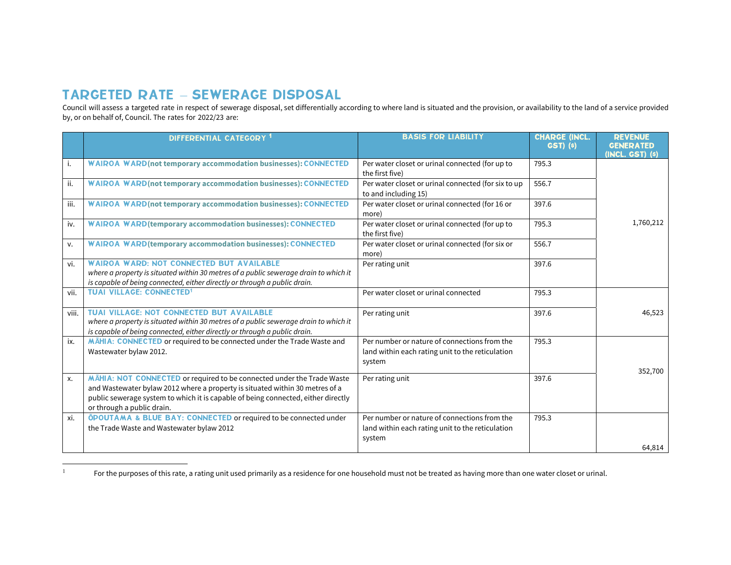## TARGETED RATE – SEWERAGE DISPOSAL

Council will assess a targeted rate in respect of sewerage disposal, set differentially according to where land is situated and the provision, or availability to the land of a service provided by, or on behalf of, Council. The rates for 2022/23 are:

|       | DIFFERENTIAL CATEGORY <sup>1</sup>                                                                                                                                                                                                                                        | <b>BASIS FOR LIABILITY</b>                                                                                 | <b>CHARGE (INCL</b><br><b>GST)</b> (s) | <b><i>REVENUE</i></b><br><b>GENERATED</b><br>(INCL. GST) (s) |
|-------|---------------------------------------------------------------------------------------------------------------------------------------------------------------------------------------------------------------------------------------------------------------------------|------------------------------------------------------------------------------------------------------------|----------------------------------------|--------------------------------------------------------------|
| i.    | <b>WAIROA WARD</b> (not temporary accommodation businesses): CONNECTED                                                                                                                                                                                                    | Per water closet or urinal connected (for up to<br>the first five)                                         | 795.3                                  |                                                              |
| ii.   | <b>WAIROA WARD</b> (not temporary accommodation businesses): CONNECTED                                                                                                                                                                                                    | Per water closet or urinal connected (for six to up<br>to and including 15)                                | 556.7                                  |                                                              |
| iii.  | <b>WAIROA WARD</b> (not temporary accommodation businesses): CONNECTED                                                                                                                                                                                                    | Per water closet or urinal connected (for 16 or<br>more)                                                   | 397.6                                  |                                                              |
| iv.   | <b>WAIROA WARD</b> (temporary accommodation businesses): CONNECTED                                                                                                                                                                                                        | Per water closet or urinal connected (for up to<br>the first five)                                         | 795.3                                  | 1,760,212                                                    |
| v.    | <b>WAIROA WARD (temporary accommodation businesses): CONNECTED</b>                                                                                                                                                                                                        | Per water closet or urinal connected (for six or<br>more)                                                  | 556.7                                  |                                                              |
| vi.   | <b>WAIROA WARD: NOT CONNECTED BUT AVAILABLE</b><br>where a property is situated within 30 metres of a public sewerage drain to which it<br>is capable of being connected, either directly or through a public drain.                                                      | Per rating unit                                                                                            | 397.6                                  |                                                              |
| vii.  | <b>TUAI VILLAGE: CONNECTED1</b>                                                                                                                                                                                                                                           | Per water closet or urinal connected                                                                       | 795.3                                  |                                                              |
| viii. | <b>TUAI VILLAGE: NOT CONNECTED BUT AVAILABLE</b><br>where a property is situated within 30 metres of a public sewerage drain to which it<br>is capable of being connected, either directly or through a public drain.                                                     | Per rating unit                                                                                            | 397.6                                  | 46,523                                                       |
| ix.   | MAHIA: CONNECTED or required to be connected under the Trade Waste and<br>Wastewater bylaw 2012.                                                                                                                                                                          | Per number or nature of connections from the<br>land within each rating unit to the reticulation<br>system | 795.3                                  | 352,700                                                      |
| х.    | MĀHIA: NOT CONNECTED or required to be connected under the Trade Waste<br>and Wastewater bylaw 2012 where a property is situated within 30 metres of a<br>public sewerage system to which it is capable of being connected, either directly<br>or through a public drain. | Per rating unit                                                                                            | 397.6                                  |                                                              |
| xi.   | <b>OPOUTAMA &amp; BLUE BAY: CONNECTED or required to be connected under</b><br>the Trade Waste and Wastewater bylaw 2012                                                                                                                                                  | Per number or nature of connections from the<br>land within each rating unit to the reticulation<br>system | 795.3                                  |                                                              |
|       |                                                                                                                                                                                                                                                                           |                                                                                                            |                                        | 64,814                                                       |

<sup>1</sup>For the purposes of this rate, a rating unit used primarily as a residence for one household must not be treated as having more than one water closet or urinal.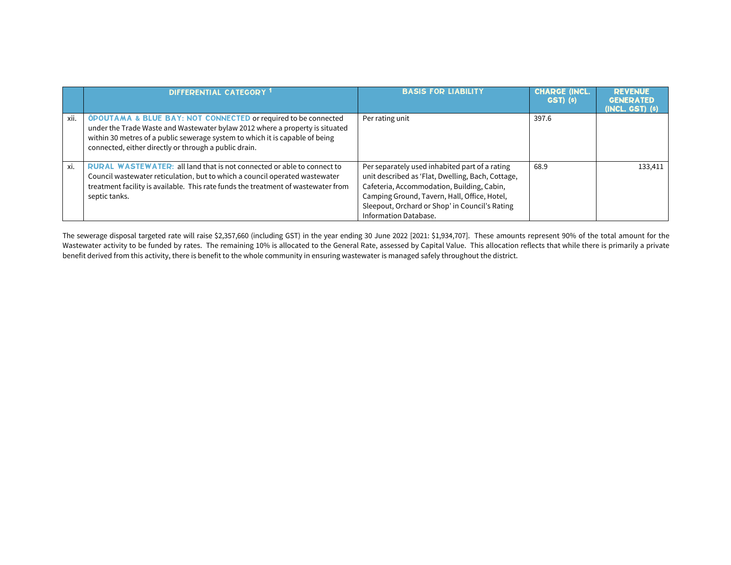|      | DIFFERENTIAL CATEGORY <sup>1</sup>                                                                                                                                                                                                                                                                 | <b>BASIS FOR LIABILITY</b>                                                                                                                                                                                                                                                   | <b>CHARGE (INCL.</b><br>GST) (s) | <b><i><u>DEVENUE</u></i></b><br><b>GENERATED</b><br>(INCL. GST) (s) |
|------|----------------------------------------------------------------------------------------------------------------------------------------------------------------------------------------------------------------------------------------------------------------------------------------------------|------------------------------------------------------------------------------------------------------------------------------------------------------------------------------------------------------------------------------------------------------------------------------|----------------------------------|---------------------------------------------------------------------|
| xii. | <b>OPOUTAMA &amp; BLUE BAY: NOT CONNECTED or required to be connected</b><br>under the Trade Waste and Wastewater bylaw 2012 where a property is situated<br>within 30 metres of a public sewerage system to which it is capable of being<br>connected, either directly or through a public drain. | Per rating unit                                                                                                                                                                                                                                                              | 397.6                            |                                                                     |
| xi.  | <b>RURAL WASTEWATER: all land that is not connected or able to connect to</b><br>Council wastewater reticulation, but to which a council operated wastewater<br>treatment facility is available. This rate funds the treatment of wastewater from<br>septic tanks.                                 | Per separately used inhabited part of a rating<br>unit described as 'Flat, Dwelling, Bach, Cottage,<br>Cafeteria, Accommodation, Building, Cabin,<br>Camping Ground, Tavern, Hall, Office, Hotel,<br>Sleepout, Orchard or Shop' in Council's Rating<br>Information Database. | 68.9                             | 133,411                                                             |

The sewerage disposal targeted rate will raise \$2,357,660 (including GST) in the year ending 30 June 2022 [2021: \$1,934,707]. These amounts represent 90% of the total amount for the Wastewater activity to be funded by rates. The remaining 10% is allocated to the General Rate, assessed by Capital Value. This allocation reflects that while there is primarily a private benefit derived from this activity, there is benefit to the whole community in ensuring wastewater is managed safely throughout the district.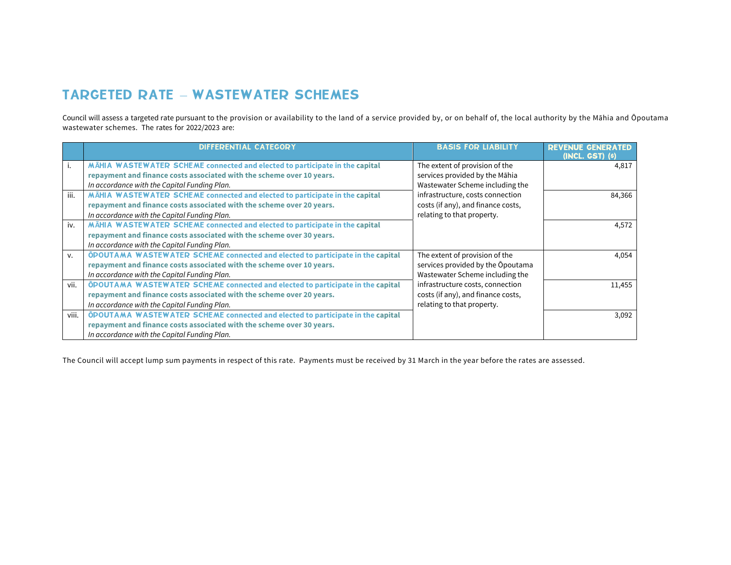# TARGETED RATE – WASTEWATER SCHEMES

Council will assess a targeted rate pursuant to the provision or availability to the land of a service provided by, or on behalf of, the local authority by the Māhia and Ōpoutama wastewater schemes. The rates for 2022/2023 are:

|       | <b>DIFFERENTIAL CATEGORY</b>                                                   | <b>BASIS FOR LIABILITY</b>         | <b>REVENUE GENER/</b><br>$(INCL, GST)$ $(s)$ |
|-------|--------------------------------------------------------------------------------|------------------------------------|----------------------------------------------|
| Ι.    | MAHIA WASTEWATER SCHEME connected and elected to participate in the capital    | The extent of provision of the     | 4.817                                        |
|       | repayment and finance costs associated with the scheme over 10 years.          | services provided by the Māhia     |                                              |
|       | In accordance with the Capital Funding Plan.                                   | Wastewater Scheme including the    |                                              |
| iii.  | MĀHIA WASTEWATER SCHEME connected and elected to participate in the capital    | infrastructure, costs connection   | 84,366                                       |
|       | repayment and finance costs associated with the scheme over 20 years.          | costs (if any), and finance costs, |                                              |
|       | In accordance with the Capital Funding Plan.                                   | relating to that property.         |                                              |
| iv.   | MAHIA WASTEWATER SCHEME connected and elected to participate in the capital    |                                    | 4.572                                        |
|       | repayment and finance costs associated with the scheme over 30 years.          |                                    |                                              |
|       | In accordance with the Capital Funding Plan.                                   |                                    |                                              |
| v.    | OPOUTAMA WASTEWATER SCHEME connected and elected to participate in the capital | The extent of provision of the     | 4.054                                        |
|       | repayment and finance costs associated with the scheme over 10 years.          | services provided by the Opoutama  |                                              |
|       | In accordance with the Capital Funding Plan.                                   | Wastewater Scheme including the    |                                              |
| vii.  | OPOUTAMA WASTEWATER SCHEME connected and elected to participate in the capital | infrastructure costs, connection   | 11,455                                       |
|       | repayment and finance costs associated with the scheme over 20 years.          | costs (if any), and finance costs, |                                              |
|       | In accordance with the Capital Funding Plan.                                   | relating to that property.         |                                              |
| viii. | OPOUTAMA WASTEWATER SCHEME connected and elected to participate in the capital |                                    | 3.092                                        |
|       | repayment and finance costs associated with the scheme over 30 years.          |                                    |                                              |
|       | In accordance with the Capital Funding Plan.                                   |                                    |                                              |

The Council will accept lump sum payments in respect of this rate. Payments must be received by 31 March in the year before the rates are assessed.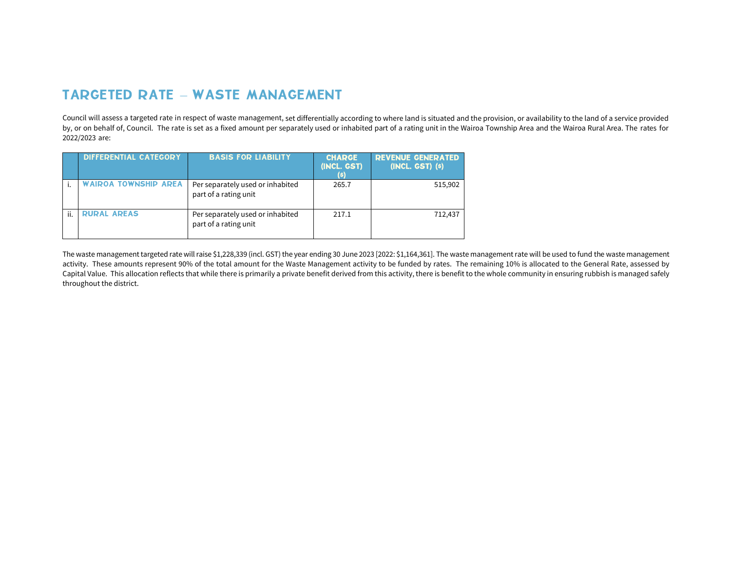# TARGETED RATE – WASTE MANAGEMENT

Council will assess a targeted rate in respect of waste management, set differentially according to where land is situated and the provision, or availability to the land of a service provided by, or on behalf of, Council. The rate is set as a fixed amount per separately used or inhabited part of a rating unit in the Wairoa Township Area and the Wairoa Rural Area. The rates for 2022/2023 are:

|     | <b>DIFFERENTIAL CATEGORY</b> | <b>BASIS FOR LIABILITY</b>                                | <b>CHARGE</b><br>(INCL. GST) | <b>REVENUE GENERATED</b><br>(INCL. GST) (s) |
|-----|------------------------------|-----------------------------------------------------------|------------------------------|---------------------------------------------|
|     | WAIROA TOWNSHIP AREA         | Per separately used or inhabited<br>part of a rating unit | 265.7                        | 515,902                                     |
| ji. | <b>RURAL AREAS</b>           | Per separately used or inhabited<br>part of a rating unit | 217.1                        | 712.437                                     |

The waste management targeted rate will raise \$1,228,339 (incl. GST) the year ending 30 June 2023 [2022: \$1,164,361]. The waste management rate will be used to fund the waste management activity. These amounts represent 90% of the total amount for the Waste Management activity to be funded by rates. The remaining 10% is allocated to the General Rate, assessed by Capital Value. This allocation reflects that while there is primarily a private benefit derived from this activity, there is benefit to the whole community in ensuring rubbish is managed safely throughout the district.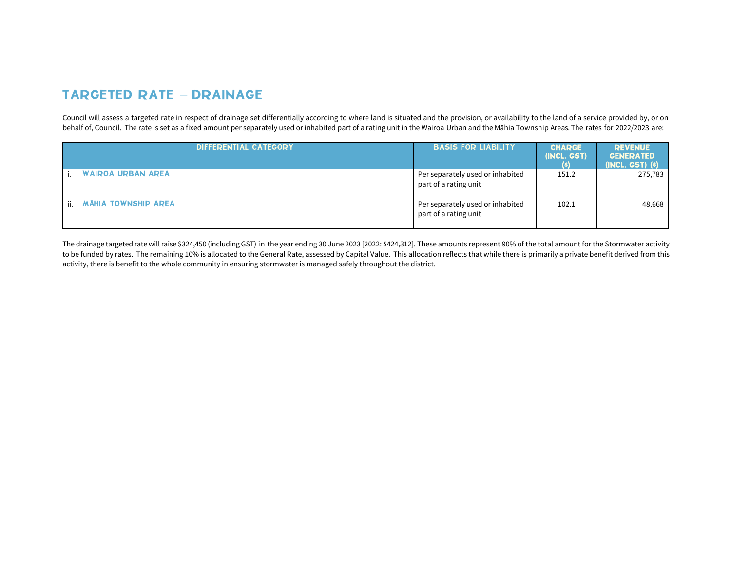# TARGETED RATE – DRAINAGE

Council will assess a targeted rate in respect of drainage set differentially according to where land is situated and the provision, or availability to the land of a service provided by, or on behalf of, Council. The rate is set as a fixed amount per separately used or inhabited part of a rating unit in the Wairoa Urban and the Māhia Township Areas. The rates for 2022/2023 are:

|     | <b>DIFFERENTIAL CATEGORY</b> | <b>BASIS FOR LIABILITY</b>                                | <b>CHARGE</b><br>(INCL. GST)<br>(s) | <b>REVENUE</b><br><b>GENERATED</b><br>(INCL. GST) (\$) |
|-----|------------------------------|-----------------------------------------------------------|-------------------------------------|--------------------------------------------------------|
|     | <b>WAIROA URBAN AREA</b>     | Per separately used or inhabited<br>part of a rating unit | 151.2                               | 275,783                                                |
| ii. | <b>MĀHIA TOWNSHIP AREA</b>   | Per separately used or inhabited<br>part of a rating unit | 102.1                               | 48,668                                                 |

The drainage targeted rate will raise \$324,450 (including GST) in the year ending 30 June 2023 [2022: \$424,312]. These amounts represent 90% of the total amount for the Stormwater activity to be funded by rates. The remaining 10% is allocated to the General Rate, assessed by Capital Value. This allocation reflects that while there is primarily a private benefit derived from this activity, there is benefit to the whole community in ensuring stormwater is managed safely throughout the district.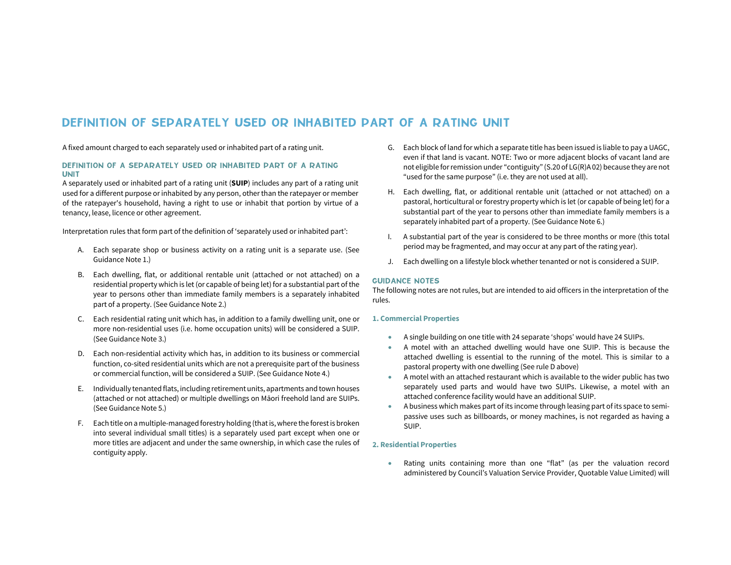### DEFINITION OF SEPARATELY USED OR INHABITED PART OF A RATING UNIT

A fixed amount charged to each separately used or inhabited part of a rating unit.

#### DEFINITION OF A SEPARATELY USED OR INHABITED PART OF A RATING UNIT

A separately used or inhabited part of a rating unit (**SUIP**) includes any part of a rating unit used for a different purpose or inhabited by any person, other than the ratepayer or member of the ratepayer's household, having a right to use or inhabit that portion by virtue of a tenancy, lease, licence or other agreement.

Interpretation rules that form part of the definition of 'separately used or inhabited part':

- A. Each separate shop or business activity on a rating unit is a separate use. (See Guidance Note 1.)
- B. Each dwelling, flat, or additional rentable unit (attached or not attached) on a residential property which is let (or capable of being let) for a substantial part of the year to persons other than immediate family members is a separately inhabited part of a property. (See Guidance Note 2.)
- C. Each residential rating unit which has, in addition to a family dwelling unit, one or more non-residential uses (i.e. home occupation units) will be considered a SUIP. (See Guidance Note 3.)
- D. Each non-residential activity which has, in addition to its business or commercial function, co-sited residential units which are not a prerequisite part of the business or commercial function, will be considered a SUIP. (See Guidance Note 4.)
- E. Individually tenanted flats, including retirement units, apartments and town houses (attached or not attached) or multiple dwellings on Māori freehold land are SUIPs. (See Guidance Note 5.)
- F. Each title on a multiple-managed forestry holding (that is, where the forest is broken into several individual small titles) is a separately used part except when one or more titles are adjacent and under the same ownership, in which case the rules of contiguity apply.
- G. Each block of land for which a separate title has been issued is liable to pay a UAGC, even if that land is vacant. NOTE: Two or more adjacent blocks of vacant land are not eligible for remission under "contiguity" (S.20 of LG(R)A 02) because they are not "used for the same purpose" (i.e. they are not used at all).
- H. Each dwelling, flat, or additional rentable unit (attached or not attached) on a pastoral, horticultural or forestry property which is let (or capable of being let) for a substantial part of the year to persons other than immediate family members is a separately inhabited part of a property. (See Guidance Note 6.)
- I. A substantial part of the year is considered to be three months or more (this total period may be fragmented, and may occur at any part of the rating year).
- J. Each dwelling on a lifestyle block whether tenanted or not is considered a SUIP.

#### GUIDANCE NOTES

The following notes are not rules, but are intended to aid officers in the interpretation of the rules.

#### **1. Commercial Properties**

- . A single building on one title with 24 separate 'shops' would have 24 SUIPs.
- ۰ A motel with an attached dwelling would have one SUIP. This is because the attached dwelling is essential to the running of the motel. This is similar to a pastoral property with one dwelling (See rule D above)
- . A motel with an attached restaurant which is available to the wider public has two separately used parts and would have two SUIPs. Likewise, a motel with an attached conference facility would have an additional SUIP.
- . A business which makes part of its income through leasing part of its space to semipassive uses such as billboards, or money machines, is not regarded as having a SUIP.

#### **2. Residential Properties**

. Rating units containing more than one "flat" (as per the valuation record administered by Council's Valuation Service Provider, Quotable Value Limited) will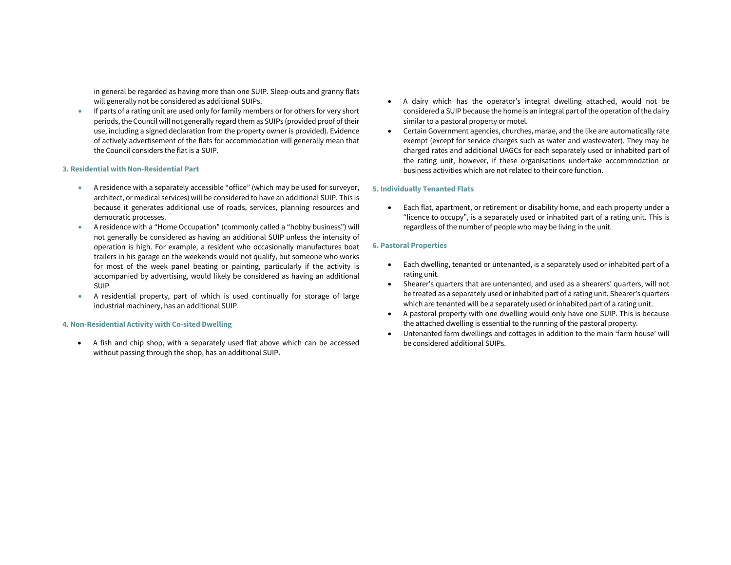in general be regarded as having more than one SUIP. Sleep-outs and granny flats will generally not be considered as additional SUIPs.

 $\bullet$  If parts of a rating unit are used only for family members or for others for very short periods, the Council will not generally regard them as SUIPs (provided proof of their use, including a signed declaration from the property owner is provided). Evidence of actively advertisement of the flats for accommodation will generally mean that the Council considers the flat is a SUIP.

#### **3. Residential with Non-Residential Part**

- $\bullet$  A residence with a separately accessible "office" (which may be used for surveyor, architect, or medical services) will be considered to have an additional SUIP. This is because it generates additional use of roads, services, planning resources and democratic processes.
- ۰ A residence with a "Home Occupation" (commonly called a "hobby business") will not generally be considered as having an additional SUIP unless the intensity of operation is high. For example, a resident who occasionally manufactures boat trailers in his garage on the weekends would not qualify, but someone who works for most of the week panel beating or painting, particularly if the activity is accompanied by advertising, would likely be considered as having an additional SUIP
- $\bullet$  . A residential property, part of which is used continually for storage of large industrial machinery, has an additional SUIP.

#### **4. Non-Residential Activity with Co-sited Dwelling**

 A fish and chip shop, with a separately used flat above which can be accessed without passing through the shop, has an additional SUIP.

- A dairy which has the operator's integral dwelling attached, would not be considered a SUIP because the home is an integral part of the operation of the dairy similar to a pastoral property or motel.
- $\bullet$  Certain Government agencies, churches, marae, and the like are automatically rate exempt (except for service charges such as water and wastewater). They may be charged rates and additional UAGCs for each separately used or inhabited part of the rating unit, however, if these organisations undertake accommodation or business activities which are not related to their core function.

#### **5. Individually Tenanted Flats**

 $\bullet$  Each flat, apartment, or retirement or disability home, and each property under a "licence to occupy", is a separately used or inhabited part of a rating unit. This is regardless of the number of people who may be living in the unit.

#### **6. Pastoral Properties**

- $\bullet$  Each dwelling, tenanted or untenanted, is a separately used or inhabited part of a rating unit.
- . Shearer's quarters that are untenanted, and used as a shearers' quarters, will not be treated as a separately used or inhabited part of a rating unit. Shearer's quarters which are tenanted will be a separately used or inhabited part of a rating unit.
- $\bullet$  A pastoral property with one dwelling would only have one SUIP. This is because the attached dwelling is essential to the running of the pastoral property.
- . Untenanted farm dwellings and cottages in addition to the main 'farm house' will be considered additional SUIPs.